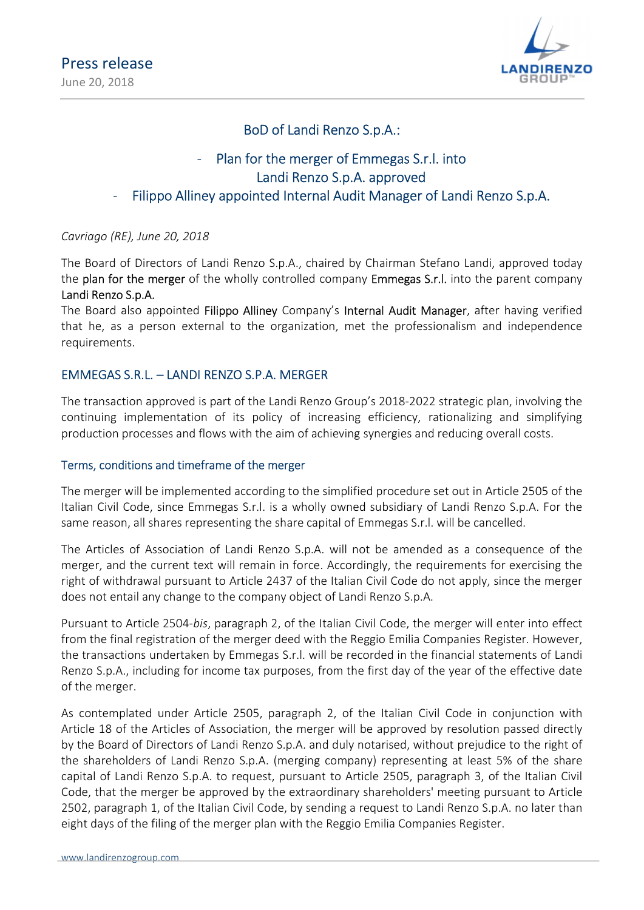

# BoD of Landi Renzo S.p.A.:

### Plan for the merger of Emmegas S.r.l. into Landi Renzo S.p.A. approved Filippo Alliney appointed Internal Audit Manager of Landi Renzo S.p.A.

Cavriago (RE), June 20, 2018

The Board of Directors of Landi Renzo S.p.A., chaired by Chairman Stefano Landi, approved today the **plan for the merger** of the wholly controlled company **Emmegas S.r.l.** into the parent company Landi Renzo S.p.A.

The Board also appointed Filippo Alliney Company's Internal Audit Manager, after having verified that he, as a person external to the organization, met the professionalism and independence requirements.

### EMMEGAS S.R.L. – LANDI RENZO S.P.A. MERGER

The transaction approved is part of the Landi Renzo Group's 2018-2022 strategic plan, involving the continuing implementation of its policy of increasing efficiency, rationalizing and simplifying production processes and flows with the aim of achieving synergies and reducing overall costs.

### Terms, conditions and timeframe of the merger

The merger will be implemented according to the simplified procedure set out in Article 2505 of the Italian Civil Code, since Emmegas S.r.l. is a wholly owned subsidiary of Landi Renzo S.p.A. For the same reason, all shares representing the share capital of Emmegas S.r.l. will be cancelled.

The Articles of Association of Landi Renzo S.p.A. will not be amended as a consequence of the merger, and the current text will remain in force. Accordingly, the requirements for exercising the right of withdrawal pursuant to Article 2437 of the Italian Civil Code do not apply, since the merger does not entail any change to the company object of Landi Renzo S.p.A.

Pursuant to Article 2504-bis, paragraph 2, of the Italian Civil Code, the merger will enter into effect from the final registration of the merger deed with the Reggio Emilia Companies Register. However, the transactions undertaken by Emmegas S.r.l. will be recorded in the financial statements of Landi Renzo S.p.A., including for income tax purposes, from the first day of the year of the effective date of the merger.

As contemplated under Article 2505, paragraph 2, of the Italian Civil Code in conjunction with Article 18 of the Articles of Association, the merger will be approved by resolution passed directly by the Board of Directors of Landi Renzo S.p.A. and duly notarised, without prejudice to the right of the shareholders of Landi Renzo S.p.A. (merging company) representing at least 5% of the share capital of Landi Renzo S.p.A. to request, pursuant to Article 2505, paragraph 3, of the Italian Civil Code, that the merger be approved by the extraordinary shareholders' meeting pursuant to Article 2502, paragraph 1, of the Italian Civil Code, by sending a request to Landi Renzo S.p.A. no later than eight days of the filing of the merger plan with the Reggio Emilia Companies Register.